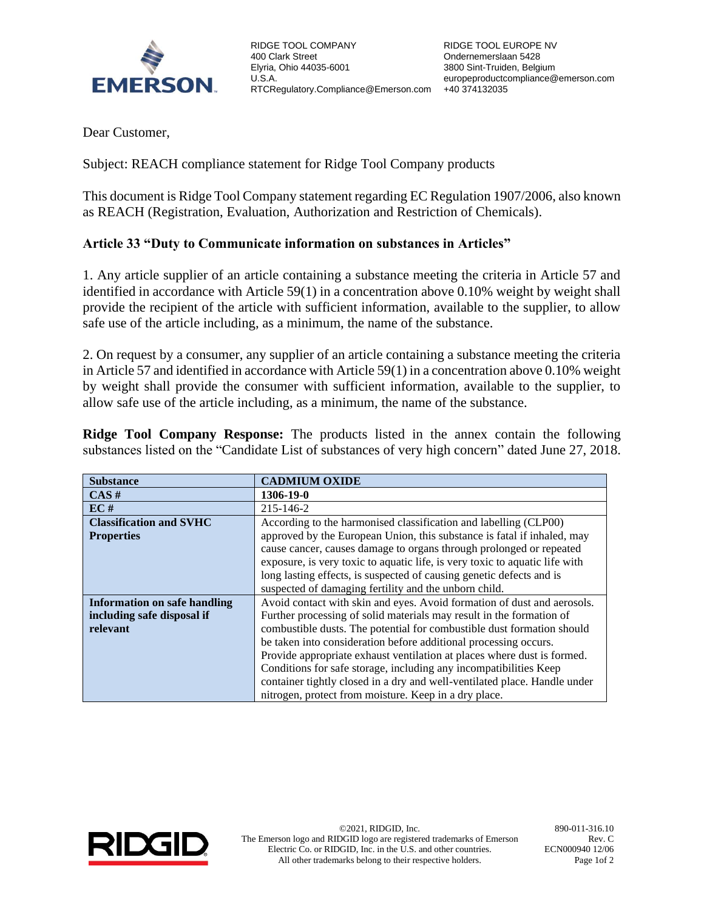

RIDGE TOOL COMPANY 400 Clark Street Elyria, Ohio 44035-6001 U.S.A. RTCRegulatory.Compliance@Emerson.com +40 374132035

Dear Customer,

Subject: REACH compliance statement for Ridge Tool Company products

This document is Ridge Tool Company statement regarding EC Regulation 1907/2006, also known as REACH (Registration, Evaluation, Authorization and Restriction of Chemicals).

## **Article 33 "Duty to Communicate information on substances in Articles"**

1. Any article supplier of an article containing a substance meeting the criteria in Article 57 and identified in accordance with Article 59(1) in a concentration above 0.10% weight by weight shall provide the recipient of the article with sufficient information, available to the supplier, to allow safe use of the article including, as a minimum, the name of the substance.

2. On request by a consumer, any supplier of an article containing a substance meeting the criteria in Article 57 and identified in accordance with Article 59(1) in a concentration above 0.10% weight by weight shall provide the consumer with sufficient information, available to the supplier, to allow safe use of the article including, as a minimum, the name of the substance.

**Ridge Tool Company Response:** The products listed in the annex contain the following substances listed on the "Candidate List of substances of very high concern" dated June 27, 2018.

| <b>Substance</b>                    | <b>CADMIUM OXIDE</b>                                                        |  |  |
|-------------------------------------|-----------------------------------------------------------------------------|--|--|
| CAS#                                | 1306-19-0                                                                   |  |  |
| EC#                                 | 215-146-2                                                                   |  |  |
| <b>Classification and SVHC</b>      | According to the harmonised classification and labelling (CLP00)            |  |  |
| <b>Properties</b>                   | approved by the European Union, this substance is fatal if inhaled, may     |  |  |
|                                     | cause cancer, causes damage to organs through prolonged or repeated         |  |  |
|                                     | exposure, is very toxic to aquatic life, is very toxic to aquatic life with |  |  |
|                                     | long lasting effects, is suspected of causing genetic defects and is        |  |  |
|                                     | suspected of damaging fertility and the unborn child.                       |  |  |
| <b>Information on safe handling</b> | Avoid contact with skin and eyes. Avoid formation of dust and aerosols.     |  |  |
| including safe disposal if          | Further processing of solid materials may result in the formation of        |  |  |
| relevant                            | combustible dusts. The potential for combustible dust formation should      |  |  |
|                                     | be taken into consideration before additional processing occurs.            |  |  |
|                                     | Provide appropriate exhaust ventilation at places where dust is formed.     |  |  |
|                                     | Conditions for safe storage, including any incompatibilities Keep           |  |  |
|                                     | container tightly closed in a dry and well-ventilated place. Handle under   |  |  |
|                                     | nitrogen, protect from moisture. Keep in a dry place.                       |  |  |